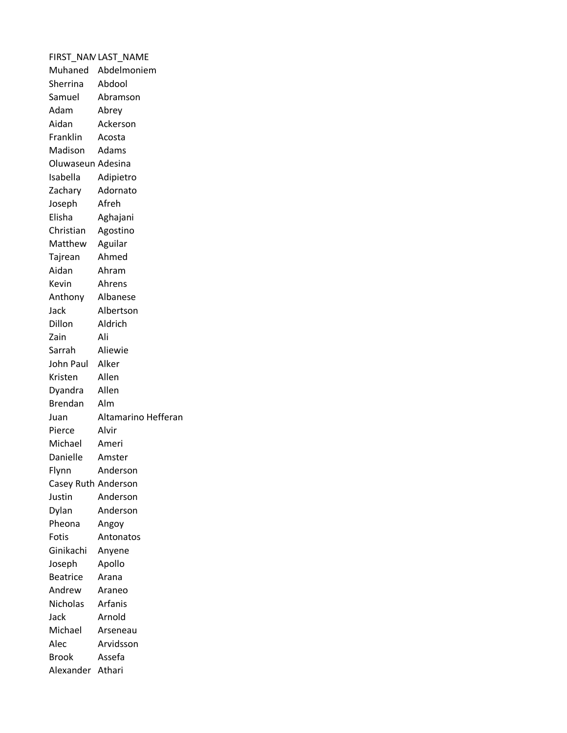|                     | FIRST_NAN LAST_NAME |
|---------------------|---------------------|
|                     | Muhaned Abdelmoniem |
| Sherrina            | Abdool              |
| Samuel              | Abramson            |
| Adam                | Abrey               |
| Aidan               | Ackerson            |
| Franklin            | Acosta              |
| Madison             | Adams               |
| Oluwaseun Adesina   |                     |
| Isabella            | Adipietro           |
| Zachary             | Adornato            |
| Joseph              | Afreh               |
| Elisha              | Aghajani            |
| Christian           | Agostino            |
| Matthew Aguilar     |                     |
| Tajrean             | Ahmed               |
| Aidan               | Ahram               |
| Kevin               | Ahrens              |
| Anthony             | Albanese            |
| Jack                | Albertson           |
| Dillon              | Aldrich             |
| Zain                | Ali                 |
| Sarrah              | Aliewie             |
| John Paul Alker     |                     |
| Kristen             | Allen               |
| Dyandra             | Allen               |
| <b>Brendan</b>      | Alm                 |
| Juan                | Altamarino Hefferan |
| Pierce              | Alvir               |
| Michael             | Ameri               |
| Danielle            | Amster              |
| Flynn               | Anderson            |
| Casey Ruth Anderson |                     |
| Justin              | Anderson            |
| Dylan               | Anderson            |
| Pheona              | Angoy               |
| Fotis               | Antonatos           |
| Ginikachi           | Anyene              |
| Joseph              | Apollo              |
| <b>Beatrice</b>     | Arana               |
| Andrew              | Araneo              |
| Nicholas            | Arfanis             |
| Jack                | Arnold              |
| Michael             | Arseneau            |
| Alec                | Arvidsson           |
| <b>Brook</b>        | Assefa              |
| Alexander           | Athari              |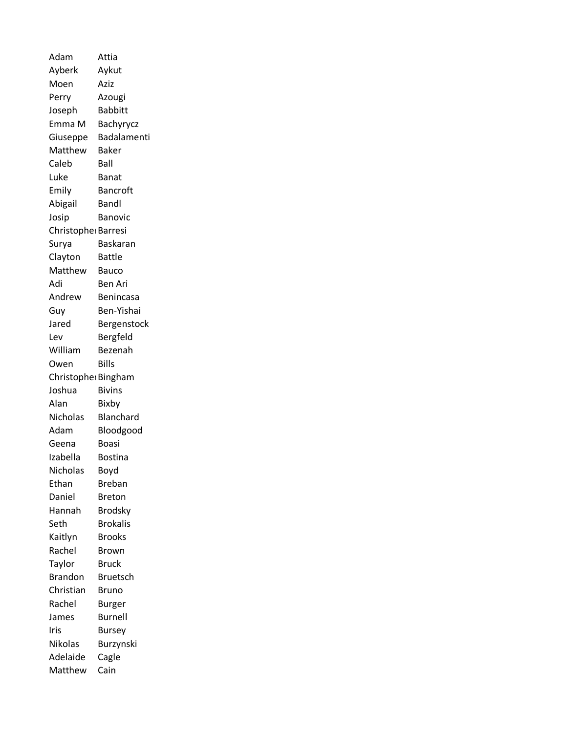Adam Attia Ayberk Aykut Moen Aziz Perry Azougi Joseph Babbitt Emma M Bachyrycz Giuseppe Badalamenti Matthew Baker Caleb Ball Luke Banat Emily Bancroft Abigail Bandl Josip Banovic Christopher Barresi Surya Baskaran Clayton Battle Matthew Bauco Adi Ben Ari Andrew Benincasa Guy Ben-Yishai Jared Bergenstock Lev Bergfeld William Bezenah Owen Bills Christopher Bingham Joshua Bivins Alan Bixby Nicholas Blanchard Adam Bloodgood Geena Boasi Izabella Bostina Nicholas Boyd Ethan Breban Daniel Breton Hannah Brodsky Seth Brokalis Kaitlyn Brooks Rachel Brown Taylor Bruck Brandon Bruetsch Christian Bruno Rachel Burger James Burnell Iris Bursey Nikolas Burzynski Adelaide Cagle Matthew Cain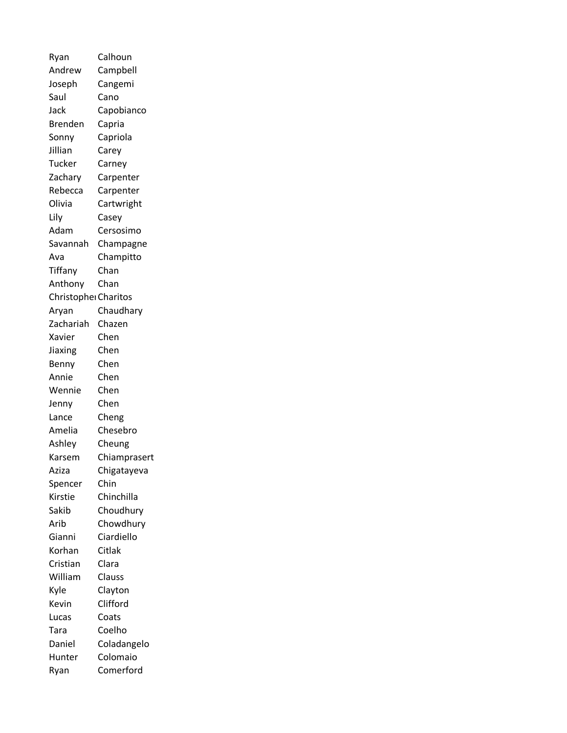Ryan Calhoun Andrew Campbell Joseph Cangemi Saul Cano Jack Capobianco Brenden Capria Sonny Capriola Jillian Carey Tucker Carney Zachary Carpenter Rebecca Carpenter Olivia Cartwright Lily Casey Adam Cersosimo Savannah Champagne Ava Champitto Tiffany Chan Anthony Chan Christopher Charitos Aryan Chaudhary Zachariah Chazen Xavier Chen Jiaxing Chen Benny Chen Annie Chen Wennie Chen Jenny Chen Lance Cheng Amelia Chesebro Ashley Cheung Karsem Chiamprasert Aziza Chigatayeva Spencer Chin Kirstie Chinchilla Sakib Choudhury Arib Chowdhury Gianni Ciardiello Korhan Citlak Cristian Clara William Clauss Kyle Clayton Kevin Clifford Lucas Coats Tara Coelho Daniel Coladangelo Hunter Colomaio Ryan Comerford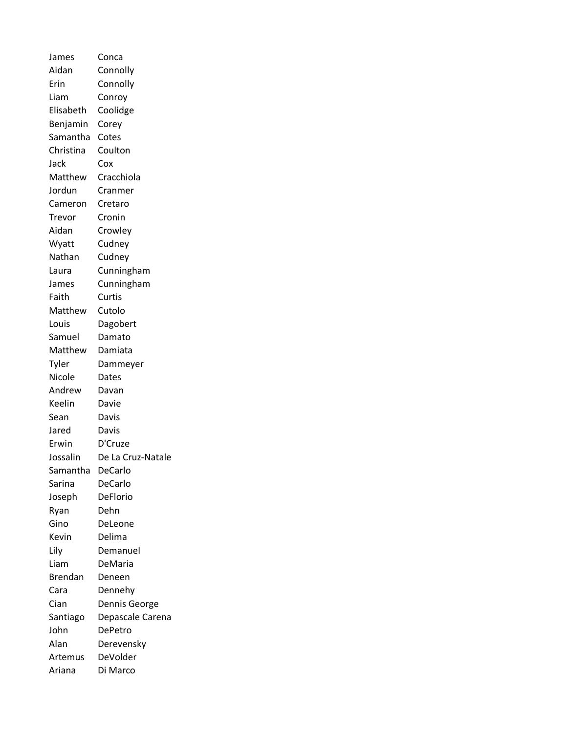James Conca Aidan Connolly Erin Connolly Liam Conroy Elisabeth Coolidge Benjamin Corey Samantha Cotes Christina Coulton Jack Cox Matthew Cracchiola Jordun Cranmer Cameron Cretaro Trevor Cronin Aidan Crowley Wyatt Cudney Nathan Cudney Laura Cunningham James Cunningham Faith Curtis Matthew Cutolo Louis Dagobert Samuel Damato Matthew Damiata Tyler Dammeyer Nicole Dates Andrew Davan Keelin Davie Sean Davis Jared Davis Erwin D'Cruze Jossalin De La Cruz-Natale Samantha DeCarlo Sarina DeCarlo Joseph DeFlorio Ryan Dehn Gino DeLeone Kevin Delima Lily Demanuel Liam DeMaria Brendan Deneen Cara Dennehy Cian Dennis George Santiago Depascale Carena John DePetro Alan Derevensky Artemus DeVolder Ariana Di Marco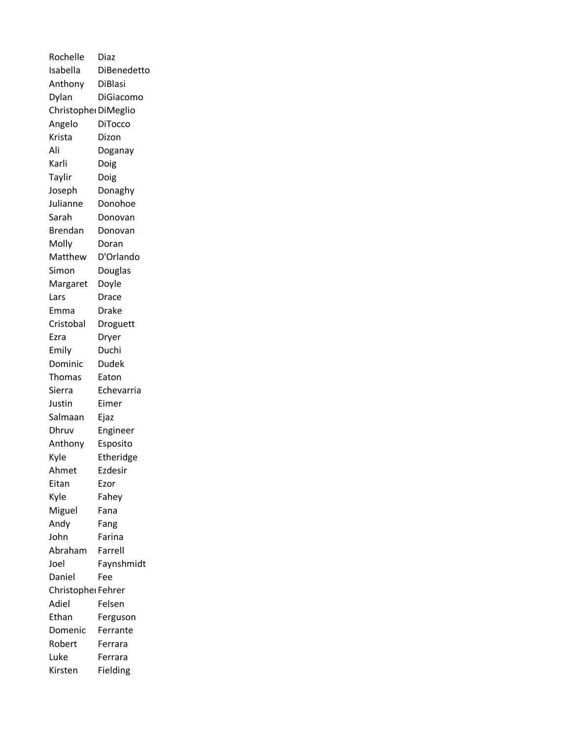| Rochelle             | Diaz               |
|----------------------|--------------------|
| Isabella             | <b>DiBenedetto</b> |
| Anthony              | <b>DiBlasi</b>     |
| Dylan                | DiGiacomo          |
| Christopher DiMeglio |                    |
| Angelo               | <b>DiTocco</b>     |
| Krista               | Dizon              |
| Ali                  | Doganay            |
| Karli                | Doig               |
| Taylir               | Doig               |
| Joseph               | Donaghy            |
| Julianne             | Donohoe            |
| Sarah                | Donovan            |
| <b>Brendan</b>       | Donovan            |
| Molly                | Doran              |
| Matthew              | D'Orlando          |
| Simon                | Douglas            |
| Margaret             | Doyle              |
| Lars                 | Drace              |
| Emma                 | Drake              |
| Cristobal            | Droguett           |
| Ezra                 | Dryer              |
| Emily                | Duchi              |
| Dominic              | Dudek              |
| Thomas               | Eaton              |
| Sierra               | Echevarria         |
| Justin               | Eimer              |
| Salmaan              | Ejaz               |
| Dhruv                | Engineer           |
| Anthony              | Esposito           |
| Kyle                 | Etheridge          |
| Ahmet                | Ezdesir            |
| Eitan                | Ezor               |
| Kyle                 | Fahey              |
| Miguel               | Fana               |
| Andy                 | Fang               |
| John                 | Farina             |
| Abraham              | Farrell            |
| Joel                 | Faynshmidt         |
| Daniel               | Fee                |
| Christopher Fehrer   |                    |
| Adiel                | Felsen             |
| Ethan                | Ferguson           |
| Domenic              | Ferrante           |
| Robert               | Ferrara            |
| Luke                 | Ferrara            |
| Kirsten              | Fielding           |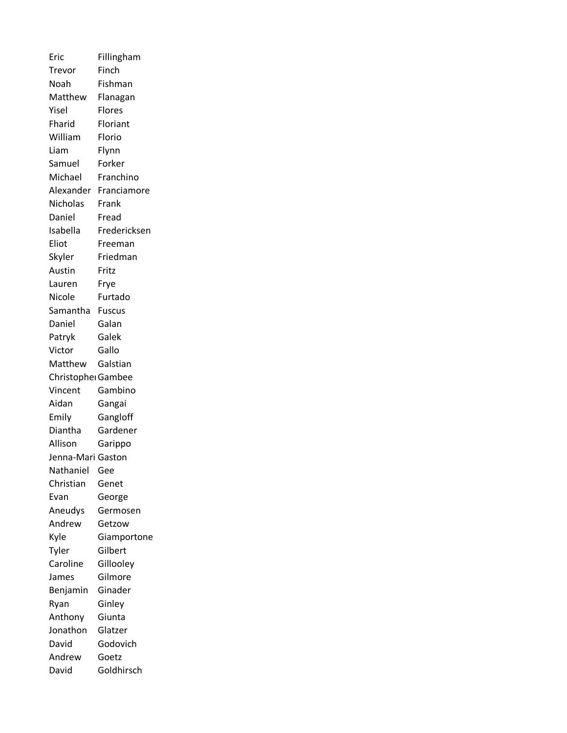Eric Fillingham Trevor Finch Noah Fishman Matthew Flanagan Yisel Flores Fharid Floriant William Florio Liam Flynn Samuel Forker Michael Franchino Alexander Franciamore Nicholas Frank Daniel Fread Isabella Fredericksen Eliot Freeman Skyler Friedman Austin Fritz Lauren Frye Nicole Furtado Samantha Fuscus Daniel Galan Patryk Galek Victor Gallo Matthew Galstian Christopher Gambee Vincent Gambino Aidan Gangai Emily Gangloff Diantha Gardener Allison Garippo Jenna-Mari Gaston Nathaniel Gee Christian Genet Evan George Aneudys Germosen Andrew Getzow Kyle Giamportone Tyler Gilbert Caroline Gillooley James Gilmore Benjamin Ginader Ryan Ginley Anthony Giunta Jonathon Glatzer David Godovich Andrew Goetz David Goldhirsch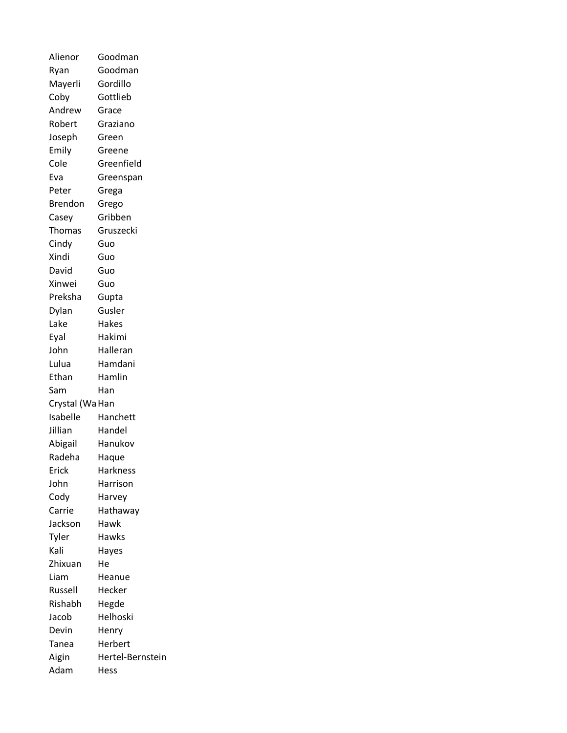| Alienor         | Goodman          |
|-----------------|------------------|
| Ryan            | Goodman          |
| Mayerli         | Gordillo         |
| Coby            | Gottlieb         |
| Andrew          | Grace            |
| Robert          | Graziano         |
| Joseph          | Green            |
| Emily           | Greene           |
| Cole            | Greenfield       |
| Eva             | Greenspan        |
| Peter           | Grega            |
| <b>Brendon</b>  | Grego            |
| Casey           | Gribben          |
| <b>Thomas</b>   | Gruszecki        |
| Cindy           | Guo              |
| Xindi           | Guo              |
| David           | Guo              |
| Xinwei          | Guo              |
| Preksha         | Gupta            |
| Dylan           | Gusler           |
| Lake            | Hakes            |
| Eyal            | Hakimi           |
| John            | Halleran         |
| Lulua           | Hamdani          |
| Ethan           | Hamlin           |
| Sam             | Han              |
| Crystal (Wa Han |                  |
| Isabelle        | Hanchett         |
| Jillian         | Handel           |
| Abigail         | Hanukov          |
| Radeha          | Haque            |
| Erick           | Harkness         |
| John            | Harrison         |
| Cody            | Harvey           |
| Carrie          | Hathaway         |
| Jackson         | Hawk             |
| Tyler           | Hawks            |
| Kali            | Hayes            |
| Zhixuan         | He               |
| Liam            | Heanue           |
| Russell         | Hecker           |
| Rishabh         | Hegde            |
| Jacob           | Helhoski         |
| Devin           | Henry            |
| Tanea           | Herbert          |
| Aigin           | Hertel-Bernstein |
| Adam            | Hess             |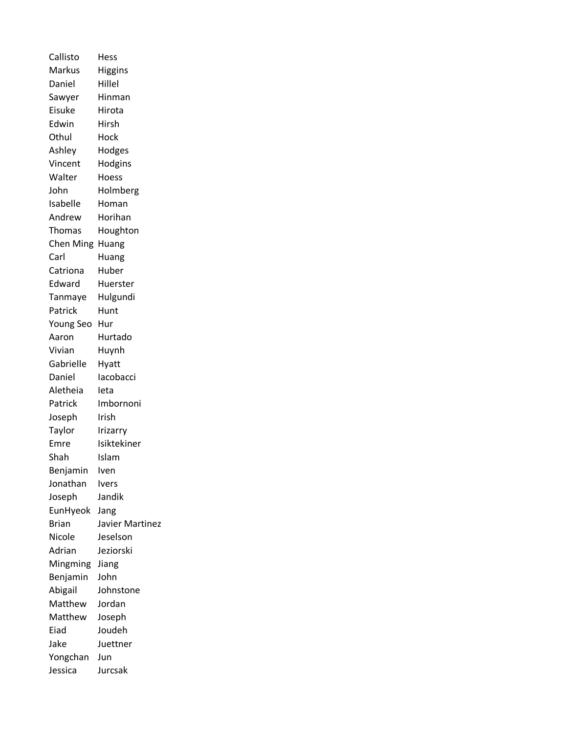Callisto Hess Markus Higgins Daniel Hillel Sawyer Hinman Eisuke Hirota Edwin Hirsh Othul Hock Ashley Hodges Vincent Hodgins Walter Hoess John Holmberg Isabelle Homan Andrew Horihan Thomas Houghton Chen Ming Huang Carl Huang Catriona Huber Edward Huerster Tanmaye Hulgundi Patrick Hunt Young Seo Hur Aaron Hurtado Vivian Huynh Gabrielle Hyatt Daniel Iacobacci Aletheia Ieta Patrick Imbornoni Joseph Irish Taylor Irizarry Emre Isiktekiner Shah Islam Benjamin Iven Jonathan Ivers Joseph Jandik EunHyeok Jang Brian Javier Martinez Nicole Jeselson Adrian Jeziorski Mingming Jiang Benjamin John Abigail Johnstone Matthew Jordan Matthew Joseph Eiad Joudeh Jake Juettner Yongchan Jun Jessica Jurcsak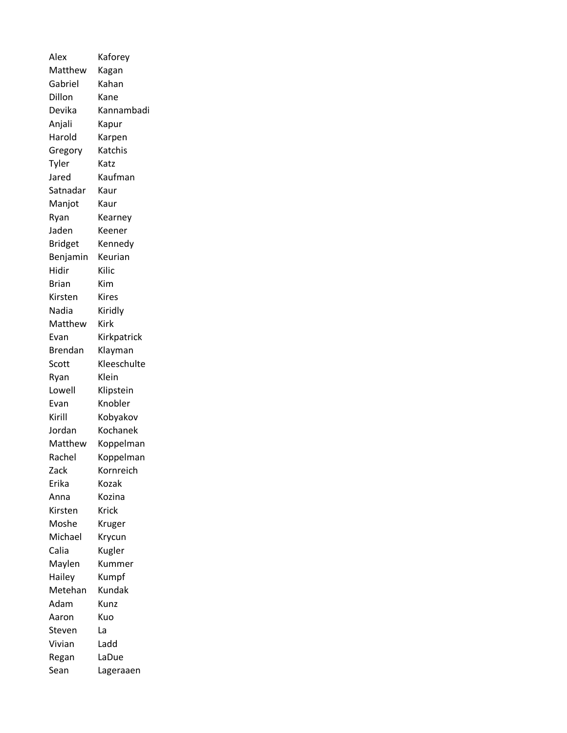| Alex           | Kaforey     |
|----------------|-------------|
| Matthew        | Kagan       |
| Gabriel        | Kahan       |
| Dillon         | Kane        |
| Devika         | Kannambadi  |
| Anjali         | Kapur       |
| Harold         | Karpen      |
| Gregory        | Katchis     |
| Tyler          | Katz        |
| Jared          | Kaufman     |
| Satnadar       | Kaur        |
| Manjot         | Kaur        |
| Ryan           | Kearney     |
| Jaden          | Keener      |
| <b>Bridget</b> | Kennedy     |
| Benjamin       | Keurian     |
| Hidir          | Kilic       |
| Brian          | Kim         |
| Kirsten        | Kires       |
| Nadia          | Kiridly     |
| Matthew        | Kirk        |
| Evan           | Kirkpatrick |
| Brendan        | Klayman     |
| Scott          | Kleeschulte |
| Ryan           | Klein       |
| Lowell         | Klipstein   |
| Evan           | Knobler     |
| Kirill         | Kobyakov    |
| Jordan         | Kochanek    |
| Matthew        | Koppelman   |
| Rachel         | Koppelman   |
| Zack           | Kornreich   |
| Erika          | Kozak       |
| Anna           | Kozina      |
| Kirsten        | Krick       |
| Moshe          | Kruger      |
| Michael        | Krycun      |
| Calia          | Kugler      |
| Maylen         | Kummer      |
| Hailey         | Kumpf       |
| Metehan        | Kundak      |
| Adam           | Kunz        |
| Aaron          | Kuo         |
| Steven         | La          |
| Vivian         | Ladd        |
| Regan          | LaDue       |
| Sean           | Lageraaen   |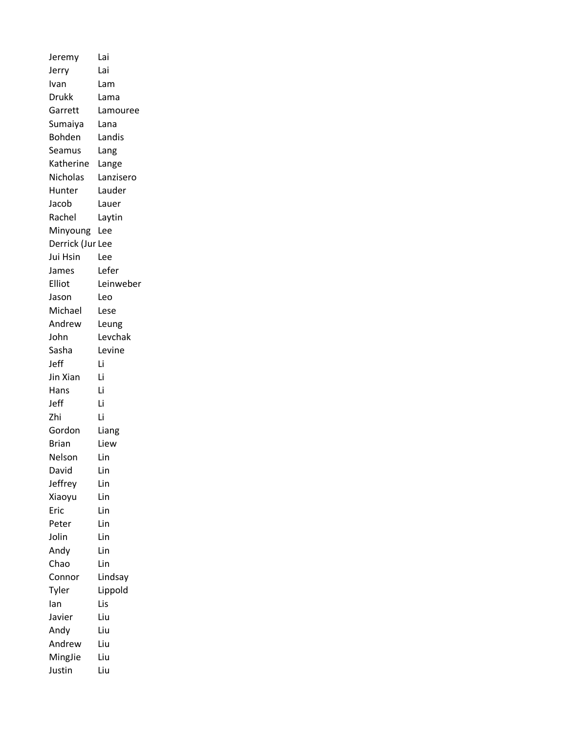| Jeremy           | Lai       |
|------------------|-----------|
| Jerry            | Lai       |
| Ivan             | Lam       |
| <b>Drukk</b>     | Lama      |
| Garrett          | Lamouree  |
| Sumaiya          | Lana      |
| Bohden           | Landis    |
| Seamus           | Lang      |
| Katherine        | Lange     |
| Nicholas         | Lanzisero |
| Hunter           | Lauder    |
| Jacob            | Lauer     |
| Rachel           | Laytin    |
| Minyoung         | Lee       |
| Derrick (Jur Lee |           |
| Jui Hsin         | Lee       |
| James            | Lefer     |
| Elliot           | Leinweber |
| Jason            | Leo       |
| Michael          | Lese      |
| Andrew           | Leung     |
| John             | Levchak   |
| Sasha            | Levine    |
| Jeff             | Li        |
| Jin Xian         | Li        |
| Hans             | Li        |
| Jeff             | Li        |
| Zhi              | Li        |
| Gordon           | Liang     |
| <b>Brian</b>     | Liew      |
| Nelson           | Lin       |
| David            | Lin       |
| Jeffrey          | Lin       |
| Xiaoyu           | Lin       |
| Eric             | Lin       |
| Peter            | Lin       |
| Jolin            | Lin       |
| Andy             | Lin       |
| Chao             | Lin       |
| Connor           | Lindsay   |
| Tyler            | Lippold   |
| lan              | Lis       |
| Javier           | Liu       |
| Andy             | Liu       |
| Andrew           | Liu       |
| MingJie          | Liu       |
| Justin           | Liu       |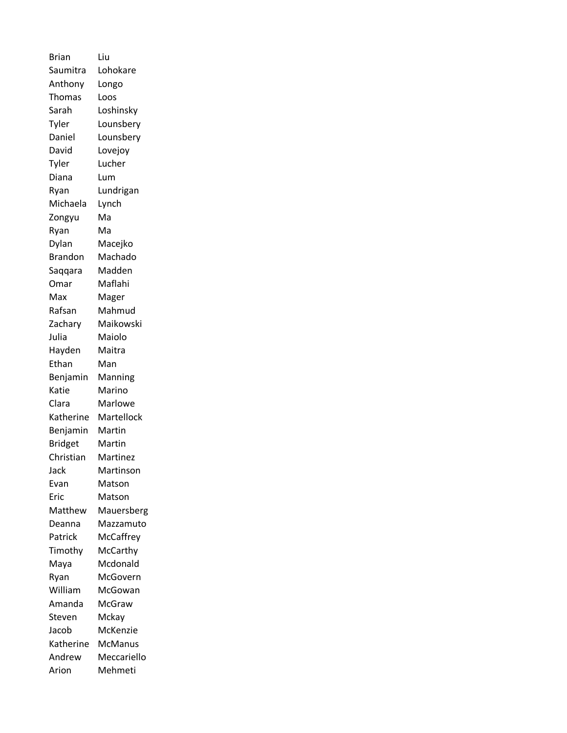| <b>Brian</b>   | Liu         |
|----------------|-------------|
| Saumitra       | Lohokare    |
| Anthony        | Longo       |
| Thomas         | Loos        |
| Sarah          | Loshinsky   |
| Tyler          | Lounsbery   |
| Daniel         | Lounsbery   |
| David          | Lovejoy     |
| Tyler          | Lucher      |
| Diana          | Lum         |
| Ryan           | Lundrigan   |
| Michaela       | Lynch       |
| Zongyu         | Ma          |
| Ryan           | Ma          |
| Dylan          | Macejko     |
| <b>Brandon</b> | Machado     |
| Saqqara        | Madden      |
| Omar           | Maflahi     |
| Max            | Mager       |
| Rafsan         | Mahmud      |
| Zachary        | Maikowski   |
| Julia          | Maiolo      |
| Hayden         | Maitra      |
| Ethan          | Man         |
| Benjamin       | Manning     |
| Katie          | Marino      |
| Clara          | Marlowe     |
| Katherine      | Martellock  |
| Benjamin       | Martin      |
| <b>Bridget</b> | Martin      |
| Christian      | Martinez    |
| Jack           | Martinson   |
| Evan           | Matson      |
| Eric           | Matson      |
| Matthew        | Mauersberg  |
| Deanna         | Mazzamuto   |
| Patrick        | McCaffrey   |
| Timothy        | McCarthy    |
| Maya           | Mcdonald    |
| Ryan           | McGovern    |
| William        | McGowan     |
| Amanda         | McGraw      |
| Steven         | Mckay       |
| Jacob          | McKenzie    |
| Katherine      | McManus     |
| Andrew         | Meccariello |
| Arion          | Mehmeti     |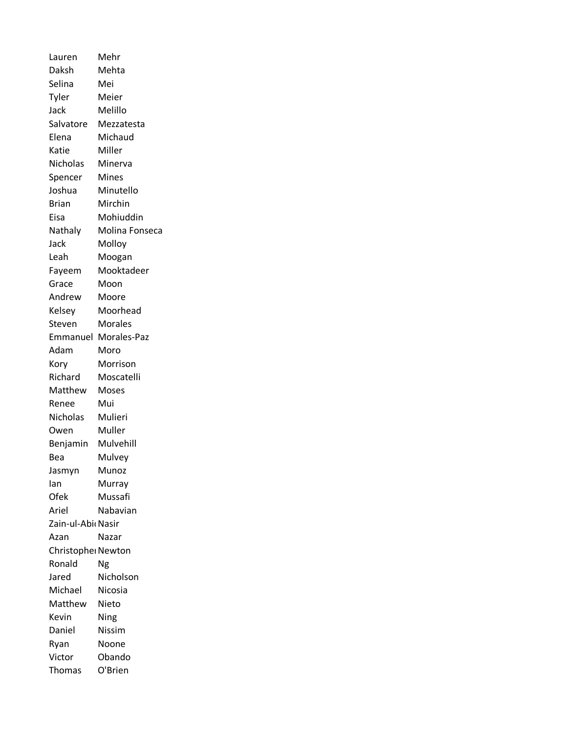Lauren Mehr Daksh Mehta Selina Mei Tyler Meier Jack Melillo Salvatore Mezzatesta Elena Michaud Katie Miller Nicholas Minerva Spencer Mines Joshua Minutello Brian Mirchin Eisa Mohiuddin Nathaly Molina Fonseca Jack Molloy Leah Moogan Fayeem Mooktadeer Grace Moon Andrew Moore Kelsey Moorhead Steven Morales Emmanuel Morales-Paz Adam Moro Kory Morrison Richard Moscatelli Matthew Moses Renee Mui Nicholas Mulieri Owen Muller Benjamin Mulvehill Bea Mulvey Jasmyn Munoz Ian Murray Ofek Mussafi Ariel Nabavian Zain-ul-AbidNasir Azan Nazar Christopher Newton Ronald Ng Jared Nicholson Michael Nicosia Matthew Nieto Kevin Ning Daniel Nissim Ryan Noone Victor Obando Thomas O'Brien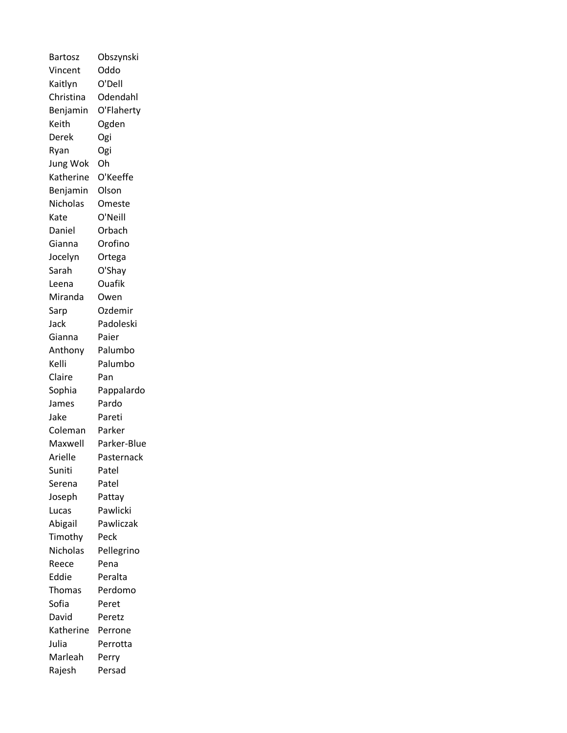| <b>Bartosz</b>  | Obszynski   |
|-----------------|-------------|
| Vincent         | Oddo        |
| Kaitlyn         | O'Dell      |
| Christina       | Odendahl    |
| Benjamin        | O'Flaherty  |
| Keith           | Ogden       |
| Derek           | Ogi         |
| Ryan            | Ogi         |
| Jung Wok        | Oh          |
| Katherine       | O'Keeffe    |
| Benjamin        | Olson       |
| Nicholas        | Omeste      |
| Kate            | O'Neill     |
| Daniel          | Orbach      |
| Gianna          | Orofino     |
| Jocelyn         | Ortega      |
| Sarah           | O'Shay      |
| Leena           | Ouafik      |
| Miranda         | Owen        |
| Sarp            | Ozdemir     |
| Jack            | Padoleski   |
| Gianna          | Paier       |
| Anthony         | Palumbo     |
| Kelli           | Palumbo     |
| Claire          | Pan         |
| Sophia          | Pappalardo  |
| James           | Pardo       |
| Jake            | Pareti      |
| Coleman         | Parker      |
| Maxwell         | Parker-Blue |
| Arielle         | Pasternack  |
| Suniti          | Patel       |
| Serena          | Patel       |
| Joseph          | Pattay      |
| Lucas           | Pawlicki    |
| Abigail         | Pawliczak   |
| Timothy         | Peck        |
| <b>Nicholas</b> | Pellegrino  |
| Reece           | Pena        |
| Eddie           | Peralta     |
| Thomas          | Perdomo     |
| Sofia           | Peret       |
| David           | Peretz      |
| Katherine       | Perrone     |
| Julia           | Perrotta    |
| Marleah         | Perry       |
| Rajesh          | Persad      |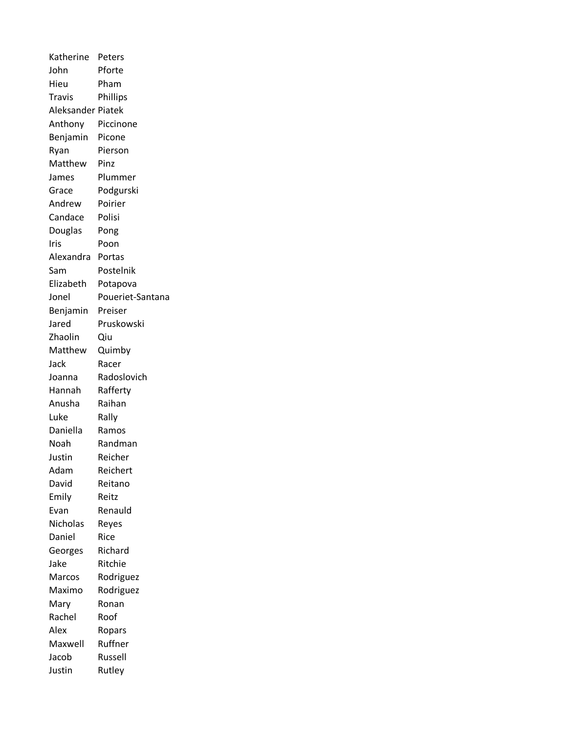Katherine Peters John Pforte Hieu Pham Travis Phillips Aleksander Piatek Anthony Piccinone Benjamin Picone Ryan Pierson Matthew Pinz James Plummer Grace Podgurski Andrew Poirier Candace Polisi Douglas Pong Iris Poon Alexandra Portas Sam Postelnik Elizabeth Potapova Jonel Poueriet-Santana Benjamin Preiser Jared Pruskowski Zhaolin Qiu Matthew Quimby Jack Racer Joanna Radoslovich Hannah Rafferty Anusha Raihan Luke Rally Daniella Ramos Noah Randman Justin Reicher Adam Reichert David Reitano Emily Reitz Evan Renauld Nicholas Reyes Daniel Rice Georges Richard Jake Ritchie Marcos Rodriguez Maximo Rodriguez Mary Ronan Rachel Roof Alex Ropars Maxwell Ruffner Jacob Russell Justin Rutley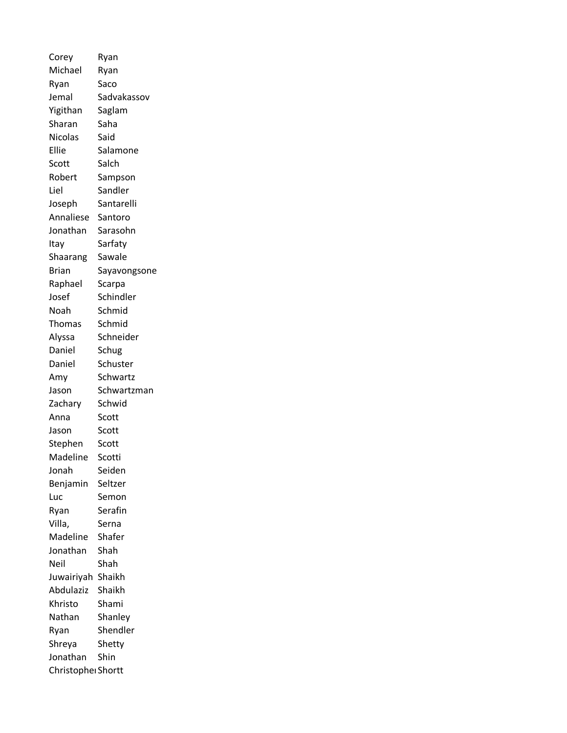Corey Ryan Michael Ryan Ryan Saco Jemal Sadvakassov Yigithan Saglam Sharan Saha Nicolas Said Ellie Salamone Scott Salch Robert Sampson Liel Sandler Joseph Santarelli Annaliese Santoro Jonathan Sarasohn Itay Sarfaty Shaarang Sawale Brian Sayavongsone Raphael Scarpa Josef Schindler Noah Schmid Thomas Schmid Alyssa Schneider Daniel Schug Daniel Schuster Amy Schwartz Jason Schwartzman Zachary Schwid Anna Scott Jason Scott Stephen Scott Madeline Scotti Jonah Seiden Benjamin Seltzer Luc Semon Ryan Serafin Villa, Serna Madeline Shafer Jonathan Shah Neil Shah Juwairiyah Shaikh Abdulaziz Shaikh Khristo Shami Nathan Shanley Ryan Shendler Shreya Shetty Jonathan Shin Christopher Shortt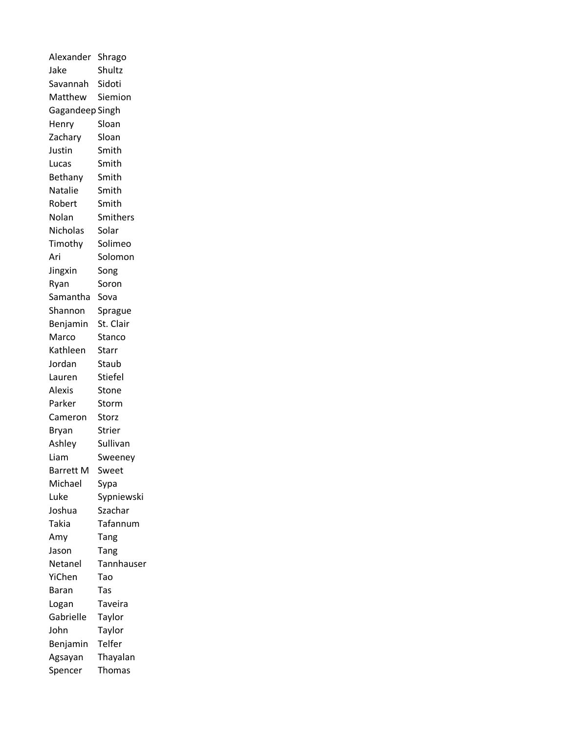| Alexander       | Shrago        |
|-----------------|---------------|
| Jake            | Shultz        |
| Savannah        | Sidoti        |
| Matthew         | Siemion       |
| Gagandeep Singh |               |
| Henry           | Sloan         |
| Zachary         | Sloan         |
| Justin          | Smith         |
| Lucas           | Smith         |
| Bethany         | Smith         |
| Natalie         | Smith         |
| Robert          | Smith         |
| Nolan           | Smithers      |
| Nicholas        | Solar         |
| Timothy         | Solimeo       |
| Ari             | Solomon       |
| Jingxin         | Song          |
| Ryan            | Soron         |
| Samantha        | Sova          |
| Shannon         | Sprague       |
| Benjamin        | St. Clair     |
| Marco           | Stanco        |
| Kathleen        | Starr         |
| Jordan          | Staub         |
| Lauren          | Stiefel       |
| Alexis          | Stone         |
| Parker          | Storm         |
| Cameron         | Storz         |
| Bryan           | <b>Strier</b> |
| Ashley          | Sullivan      |
| Liam            | Sweeney       |
| Barrett M       | Sweet         |
| Michael         | Sypa          |
| Luke            | Sypniewski    |
| Joshua          | Szachar       |
| Takia           | Tafannum      |
| Amy             | Tang          |
| Jason           | Tang          |
| Netanel         | Tannhauser    |
| YiChen          | Tao           |
| Baran           | Tas           |
| Logan           | Taveira       |
| Gabrielle       | Taylor        |
| John            | Taylor        |
| Benjamin        | Telfer        |
| Agsayan         | Thayalan      |
| Spencer         | <b>Thomas</b> |
|                 |               |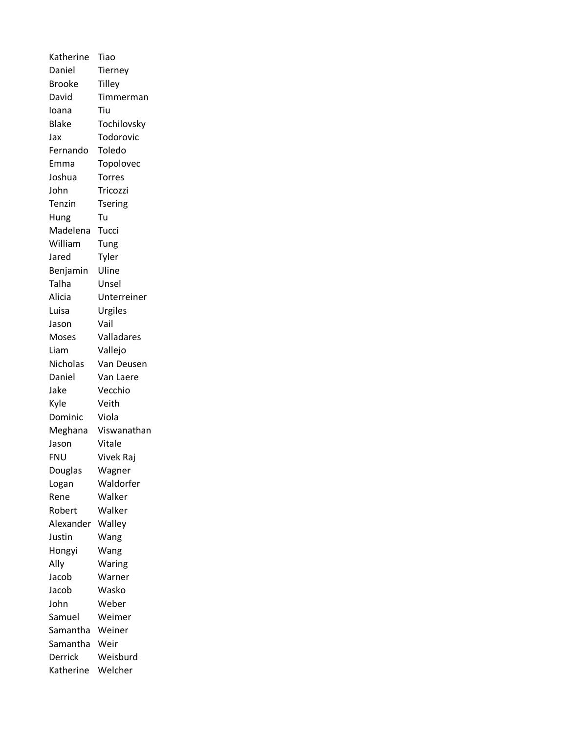Katherine Tiao Daniel Tierney Brooke Tilley David Timmerman Ioana Tiu Blake Tochilovsky Jax Todorovic Fernando Toledo Emma Topolovec Joshua Torres John Tricozzi Tenzin Tsering Hung Tu Madelena Tucci William Tung Jared Tyler Benjamin Uline Talha Unsel Alicia Unterreiner Luisa Urgiles Jason Vail Moses Valladares Liam Vallejo Nicholas Van Deusen Daniel Van Laere Jake Vecchio Kyle Veith Dominic Viola Meghana Viswanathan Jason Vitale FNU Vivek Raj Douglas Wagner Logan Waldorfer Rene Walker Robert Walker Alexander Walley Justin Wang Hongyi Wang Ally Waring Jacob Warner Jacob Wasko John Weber Samuel Weimer Samantha Weiner Samantha Weir Derrick Weisburd Katherine Welcher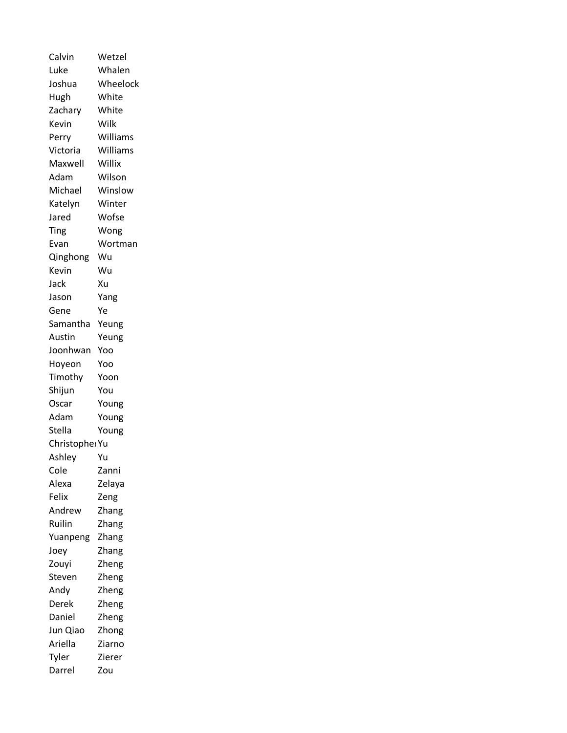| Calvin         | Wetzel   |
|----------------|----------|
| Luke           | Whalen   |
| Joshua         | Wheelock |
| Hugh           | White    |
| Zachary        | White    |
| Kevin          | Wilk     |
| Perry          | Williams |
| Victoria       | Williams |
| Maxwell        | Willix   |
| Adam           | Wilson   |
| Michael        | Winslow  |
| Katelyn        | Winter   |
| Jared          | Wofse    |
| Ting           | Wong     |
| Evan           | Wortman  |
| Qinghong       | Wu       |
| Kevin          | Wu       |
| Jack           | Xu       |
| Jason          | Yang     |
| Gene           | Ye       |
| Samantha       | Yeung    |
| Austin         | Yeung    |
| Joonhwan       | Yoo      |
| Hoyeon         | Yoo      |
| Timothy        | Yoon     |
| Shijun         | You      |
| Oscar          | Young    |
| Adam           | Young    |
| Stella         | Young    |
| Christopher Yu |          |
| Ashley         | Yu       |
| Cole           | Zanni    |
| Alexa          | Zelaya   |
| Felix          | Zeng     |
| Andrew         | Zhang    |
| Ruilin         | Zhang    |
| Yuanpeng       | Zhang    |
| Joey           | Zhang    |
| Zouyi          | Zheng    |
| Steven         | Zheng    |
| Andy           | Zheng    |
| Derek          | Zheng    |
| Daniel         | Zheng    |
| Jun Qiao       | Zhong    |
| Ariella        | Ziarno   |
| Tyler          | Zierer   |
| Darrel         | Zou      |